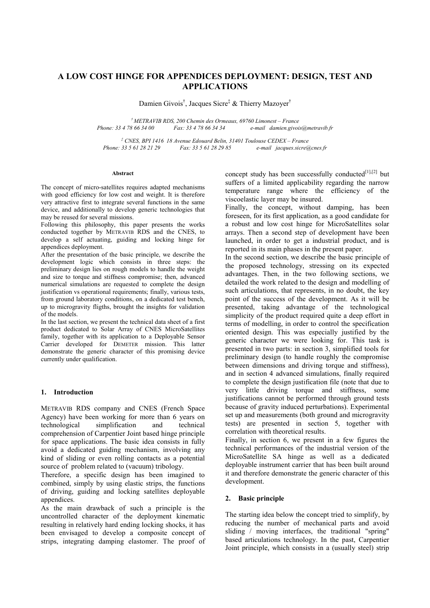# **A LOW COST HINGE FOR APPENDICES DEPLOYMENT: DESIGN, TEST AND APPLICATIONS**

Damien Givois<sup>†</sup>, Jacques Sicre<sup>‡</sup> & Thierry Mazoyer<sup>†</sup>

*† METRAVIB RDS, 200 Chemin des Ormeaux, 69760 Limonest – France Phone: 33 4 78 66 34 00 Fax: 33 4 78 66 34 34 e-mail damien.givois@metravib.fr*

*‡ CNES, BPI 1416 18 Avenue Edouard Belin, 31401 Toulouse CEDEX – France Phone: 33 5 61 28 21 29 Fax: 33 5 61 28 29 85 e-mail jacques.sicre@cnes.fr*

#### **Abstract**

The concept of micro-satellites requires adapted mechanisms with good efficiency for low cost and weight. It is therefore very attractive first to integrate several functions in the same device, and additionally to develop generic technologies that may be reused for several missions.

Following this philosophy, this paper presents the works conducted together by METRAVIB RDS and the CNES, to develop a self actuating, guiding and locking hinge for appendices deployment.

After the presentation of the basic principle, we describe the development logic which consists in three steps: the preliminary design lies on rough models to handle the weight and size to torque and stiffness compromise; then, advanced numerical simulations are requested to complete the design justification vs operational requirements; finally, various tests, from ground laboratory conditions, on a dedicated test bench, up to microgravity fligths, brought the insights for validation of the models.

In the last section, we present the technical data sheet of a first product dedicated to Solar Array of CNES MicroSatellites family, together with its application to a Deployable Sensor Carrier developed for DEMETER mission. This latter demonstrate the generic character of this promising device currently under qualification.

### **1. Introduction**

METRAVIB RDS company and CNES (French Space Agency) have been working for more than 6 years on technological simplification and technical comprehension of Carpentier Joint based hinge principle for space applications. The basic idea consists in fully avoid a dedicated guiding mechanism, involving any kind of sliding or even rolling contacts as a potential source of problem related to (vacuum) tribology.

Therefore, a specific design has been imagined to combined, simply by using elastic strips, the functions of driving, guiding and locking satellites deployable appendices.

As the main drawback of such a principle is the uncontrolled character of the deployment kinematic resulting in relatively hard ending locking shocks, it has been envisaged to develop a composite concept of strips, integrating damping elastomer. The proof of concept study has been successfully conducted $[1]$ , $[2]$  but suffers of a limited applicability regarding the narrow temperature range where the efficiency of the viscoelastic layer may be insured.

Finally, the concept, without damping, has been foreseen, for its first application, as a good candidate for a robust and low cost hinge for MicroSatellites solar arrays. Then a second step of development have been launched, in order to get a industrial product, and is reported in its main phases in the present paper.

In the second section, we describe the basic principle of the proposed technology, stressing on its expected advantages. Then, in the two following sections, we detailed the work related to the design and modelling of such articulations, that represents, in no doubt, the key point of the success of the development. As it will be presented, taking advantage of the technological simplicity of the product required quite a deep effort in terms of modelling, in order to control the specification oriented design. This was especially justified by the generic character we were looking for. This task is presented in two parts: in section 3, simplified tools for preliminary design (to handle roughly the compromise between dimensions and driving torque and stiffness), and in section 4 advanced simulations, finally required to complete the design justification file (note that due to very little driving torque and stiffness, some justifications cannot be performed through ground tests because of gravity induced perturbations). Experimental set up and measurements (both ground and microgravity tests) are presented in section 5, together with correlation with theoretical results.

Finally, in section 6, we present in a few figures the technical performances of the industrial version of the MicroSatellite SA hinge as well as a dedicated deployable instrument carrier that has been built around it and therefore demonstrate the generic character of this development.

#### **2. Basic principle**

The starting idea below the concept tried to simplify, by reducing the number of mechanical parts and avoid sliding / moving interfaces, the traditional "spring" based articulations technology. In the past, Carpentier Joint principle, which consists in a (usually steel) strip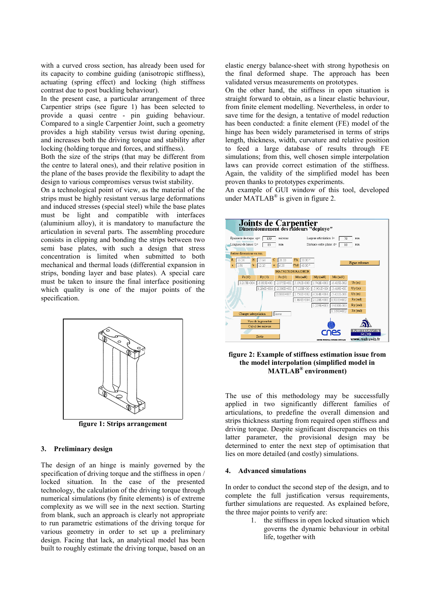with a curved cross section, has already been used for its capacity to combine guiding (anisotropic stiffness), actuating (spring effect) and locking (high stiffness contrast due to post buckling behaviour).

In the present case, a particular arrangement of three Carpentier strips (see figure 1) has been selected to provide a quasi centre - pin guiding behaviour. Compared to a single Carpentier Joint, such a geometry provides a high stability versus twist during opening, and increases both the driving torque and stability after locking (holding torque and forces, and stiffness).

Both the size of the strips (that may be different from the centre to lateral ones), and their relative position in the plane of the bases provide the flexibility to adapt the design to various compromises versus twist stability.

On a technological point of view, as the material of the strips must be highly resistant versus large deformations and induced stresses (special steel) while the base plates must be light and compatible with interfaces (aluminium alloy), it is mandatory to manufacture the articulation in several parts. The assembling procedure consists in clipping and bonding the strips between two semi base plates, with such a design that stress concentration is limited when submitted to both mechanical and thermal loads (differential expansion in strips, bonding layer and base plates). A special care must be taken to insure the final interface positioning which quality is one of the major points of the specification.



**figure 1: Strips arrangement**

#### **3. Preliminary design**

The design of an hinge is mainly governed by the specification of driving torque and the stiffness in open / locked situation. In the case of the presented technology, the calculation of the driving torque through numerical simulations (by finite elements) is of extreme complexity as we will see in the next section. Starting from blank, such an approach is clearly not appropriate to run parametric estimations of the driving torque for various geometry in order to set up a preliminary design. Facing that lack, an analytical model has been built to roughly estimate the driving torque, based on an elastic energy balance-sheet with strong hypothesis on the final deformed shape. The approach has been validated versus measurements on prototypes.

On the other hand, the stiffness in open situation is straight forward to obtain, as a linear elastic behaviour, from finite element modelling. Nevertheless, in order to save time for the design, a tentative of model reduction has been conducted: a finite element (FE) model of the hinge has been widely parameterised in terms of strips length, thickness, width, curvature and relative position to feed a large database of results through FE simulations; from this, well chosen simple interpolation laws can provide correct estimation of the stiffness. Again, the validity of the simplified model has been proven thanks to prototypes experiments.

An example of GUI window of this tool, developed under  $\widehat{MATLAB}^{\otimes}$  is given in figure 2.



## **figure 2: Example of stiffness estimation issue from the model interpolation (simplified model in MATLAB® environment)**

The use of this methodology may be successfully applied in two significantly different families of articulations, to predefine the overall dimension and strips thickness starting from required open stiffness and driving torque. Despite significant discrepancies on this latter parameter, the provisional design may be determined to enter the next step of optimisation that lies on more detailed (and costly) simulations.

### **4. Advanced simulations**

In order to conduct the second step of the design, and to complete the full justification versus requirements, further simulations are requested. As explained before, the three major points to verify are:

> 1. the stiffness in open locked situation which governs the dynamic behaviour in orbital life, together with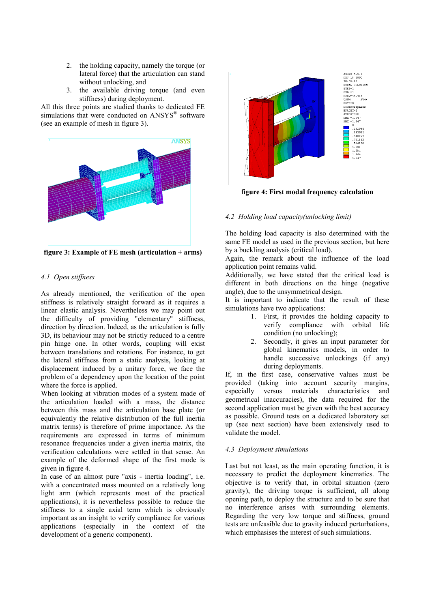- 2. the holding capacity, namely the torque (or lateral force) that the articulation can stand without unlocking, and
- 3. the available driving torque (and even stiffness) during deployment.

All this three points are studied thanks to dedicated FE simulations that were conducted on ANSYS® software (see an example of mesh in figure 3).



**figure 3: Example of FE mesh (articulation + arms)**

## *4.1 Open stiffness*

As already mentioned, the verification of the open stiffness is relatively straight forward as it requires a linear elastic analysis. Nevertheless we may point out the difficulty of providing "elementary" stiffness, direction by direction. Indeed, as the articulation is fully 3D, its behaviour may not be strictly reduced to a centre pin hinge one. In other words, coupling will exist between translations and rotations. For instance, to get the lateral stiffness from a static analysis, looking at displacement induced by a unitary force, we face the problem of a dependency upon the location of the point where the force is applied.

When looking at vibration modes of a system made of the articulation loaded with a mass, the distance between this mass and the articulation base plate (or equivalently the relative distribution of the full inertia matrix terms) is therefore of prime importance. As the requirements are expressed in terms of minimum resonance frequencies under a given inertia matrix, the verification calculations were settled in that sense. An example of the deformed shape of the first mode is given in figure 4.

In case of an almost pure "axis - inertia loading", i.e. with a concentrated mass mounted on a relatively long light arm (which represents most of the practical applications), it is nevertheless possible to reduce the stiffness to a single axial term which is obviously important as an insight to verify compliance for various applications (especially in the context of the development of a generic component).



**figure 4: First modal frequency calculation**

### *4.2 Holding load capacity(unlocking limit)*

The holding load capacity is also determined with the same FE model as used in the previous section, but here by a buckling analysis (critical load).

Again, the remark about the influence of the load application point remains valid.

Additionally, we have stated that the critical load is different in both directions on the hinge (negative angle), due to the unsymmetrical design.

It is important to indicate that the result of these simulations have two applications:

- 1. First, it provides the holding capacity to verify compliance with orbital life condition (no unlocking);
- 2. Secondly, it gives an input parameter for global kinematics models, in order to handle successive unlockings (if any) during deployments.

If, in the first case, conservative values must be provided (taking into account security margins, especially versus materials characteristics and geometrical inaccuracies), the data required for the second application must be given with the best accuracy as possible. Ground tests on a dedicated laboratory set up (see next section) have been extensively used to validate the model.

### *4.3 Deployment simulations*

Last but not least, as the main operating function, it is necessary to predict the deployment kinematics. The objective is to verify that, in orbital situation (zero gravity), the driving torque is sufficient, all along opening path, to deploy the structure and to be sure that no interference arises with surrounding elements. Regarding the very low torque and stiffness, ground tests are unfeasible due to gravity induced perturbations, which emphasises the interest of such simulations.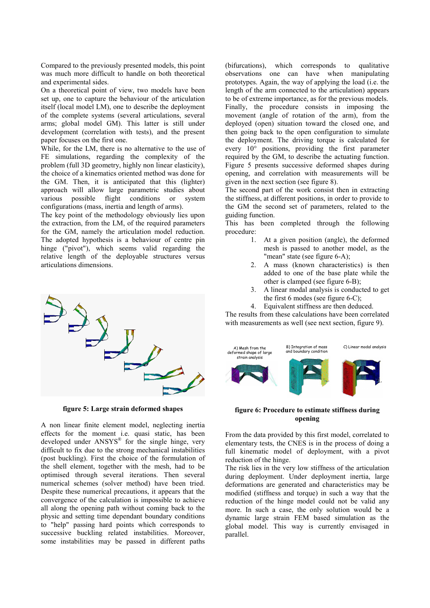Compared to the previously presented models, this point was much more difficult to handle on both theoretical and experimental sides.

On a theoretical point of view, two models have been set up, one to capture the behaviour of the articulation itself (local model LM), one to describe the deployment of the complete systems (several articulations, several arms; global model GM). This latter is still under development (correlation with tests), and the present paper focuses on the first one.

While, for the LM, there is no alternative to the use of FE simulations, regarding the complexity of the problem (full 3D geometry, highly non linear elasticity), the choice of a kinematics oriented method was done for the GM. Then, it is anticipated that this (lighter) approach will allow large parametric studies about various possible flight conditions or system configurations (mass, inertia and length of arms).

The key point of the methodology obviously lies upon the extraction, from the LM, of the required parameters for the GM, namely the articulation model reduction. The adopted hypothesis is a behaviour of centre pin hinge ("pivot"), which seems valid regarding the relative length of the deployable structures versus articulations dimensions.



**figure 5: Large strain deformed shapes**

A non linear finite element model, neglecting inertia effects for the moment i.e. quasi static, has been developed under ANSYS® for the single hinge, very difficult to fix due to the strong mechanical instabilities (post buckling). First the choice of the formulation of the shell element, together with the mesh, had to be optimised through several iterations. Then several numerical schemes (solver method) have been tried. Despite these numerical precautions, it appears that the convergence of the calculation is impossible to achieve all along the opening path without coming back to the physic and setting time dependant boundary conditions to "help" passing hard points which corresponds to successive buckling related instabilities. Moreover, some instabilities may be passed in different paths (bifurcations), which corresponds to qualitative observations one can have when manipulating prototypes. Again, the way of applying the load (i.e. the length of the arm connected to the articulation) appears to be of extreme importance, as for the previous models. Finally, the procedure consists in imposing the movement (angle of rotation of the arm), from the deployed (open) situation toward the closed one, and then going back to the open configuration to simulate the deployment. The driving torque is calculated for every 10° positions, providing the first parameter required by the GM, to describe the actuating function. Figure 5 presents successive deformed shapes during opening, and correlation with measurements will be given in the next section (see figure 8).

The second part of the work consist then in extracting the stiffness, at different positions, in order to provide to the GM the second set of parameters, related to the guiding function.

This has been completed through the following procedure:

- 1. At a given position (angle), the deformed mesh is passed to another model, as the "mean" state (see figure 6-A);
- 2. A mass (known characteristics) is then added to one of the base plate while the other is clamped (see figure 6-B);
- 3. A linear modal analysis is conducted to get the first 6 modes (see figure 6-C);

4. Equivalent stiffness are then deduced. The results from these calculations have been correlated with measurements as well (see next section, figure 9).



**figure 6: Procedure to estimate stiffness during opening**

From the data provided by this first model, correlated to elementary tests, the CNES is in the process of doing a full kinematic model of deployment, with a pivot reduction of the hinge.

The risk lies in the very low stiffness of the articulation during deployment. Under deployment inertia, large deformations are generated and characteristics may be modified (stiffness and torque) in such a way that the reduction of the hinge model could not be valid any more. In such a case, the only solution would be a dynamic large strain FEM based simulation as the global model. This way is currently envisaged in parallel.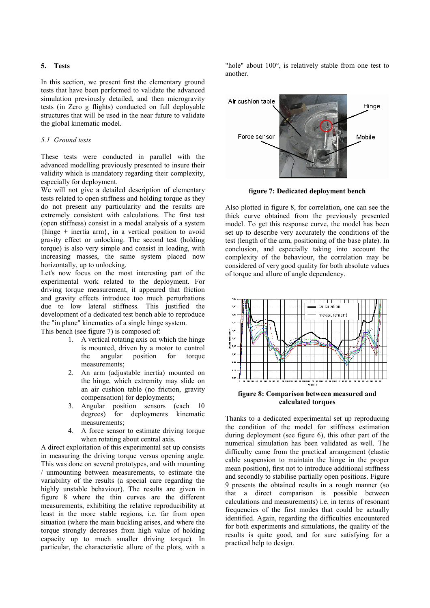#### **5. Tests**

In this section, we present first the elementary ground tests that have been performed to validate the advanced simulation previously detailed, and then microgravity tests (in Zero g flights) conducted on full deployable structures that will be used in the near future to validate the global kinematic model.

### *5.1 Ground tests*

These tests were conducted in parallel with the advanced modelling previously presented to insure their validity which is mandatory regarding their complexity, especially for deployment.

We will not give a detailed description of elementary tests related to open stiffness and holding torque as they do not present any particularity and the results are extremely consistent with calculations. The first test (open stiffness) consist in a modal analysis of a system {hinge + inertia arm}, in a vertical position to avoid gravity effect or unlocking. The second test (holding torque) is also very simple and consist in loading, with increasing masses, the same system placed now horizontally, up to unlocking.

Let's now focus on the most interesting part of the experimental work related to the deployment. For driving torque measurement, it appeared that friction and gravity effects introduce too much perturbations due to low lateral stiffness. This justified the development of a dedicated test bench able to reproduce the "in plane" kinematics of a single hinge system. This bench (see figure 7) is composed of:

- 1. A vertical rotating axis on which the hinge is mounted, driven by a motor to control the angular position for torque measurements;
- 2. An arm (adjustable inertia) mounted on the hinge, which extremity may slide on an air cushion table (no friction, gravity compensation) for deployments;
- 3. Angular position sensors (each 10 degrees) for deployments kinematic measurements;
- 4. A force sensor to estimate driving torque when rotating about central axis.

A direct exploitation of this experimental set up consists in measuring the driving torque versus opening angle. This was done on several prototypes, and with mounting / unmounting between measurements, to estimate the variability of the results (a special care regarding the highly unstable behaviour). The results are given in figure 8 where the thin curves are the different measurements, exhibiting the relative reproducibility at least in the more stable regions, i.e. far from open situation (where the main buckling arises, and where the torque strongly decreases from high value of holding capacity up to much smaller driving torque). In particular, the characteristic allure of the plots, with a

"hole" about 100°, is relatively stable from one test to another.



**figure 7: Dedicated deployment bench**

Also plotted in figure 8, for correlation, one can see the thick curve obtained from the previously presented model. To get this response curve, the model has been set up to describe very accurately the conditions of the test (length of the arm, positioning of the base plate). In conclusion, and especially taking into account the complexity of the behaviour, the correlation may be considered of very good quality for both absolute values of torque and allure of angle dependency.



**calculated torques**

Thanks to a dedicated experimental set up reproducing the condition of the model for stiffness estimation during deployment (see figure 6), this other part of the numerical simulation has been validated as well. The difficulty came from the practical arrangement (elastic cable suspension to maintain the hinge in the proper mean position), first not to introduce additional stiffness and secondly to stabilise partially open positions. Figure 9 presents the obtained results in a rough manner (so that a direct comparison is possible between calculations and measurements) i.e. in terms of resonant frequencies of the first modes that could be actually identified. Again, regarding the difficulties encountered for both experiments and simulations, the quality of the results is quite good, and for sure satisfying for a practical help to design.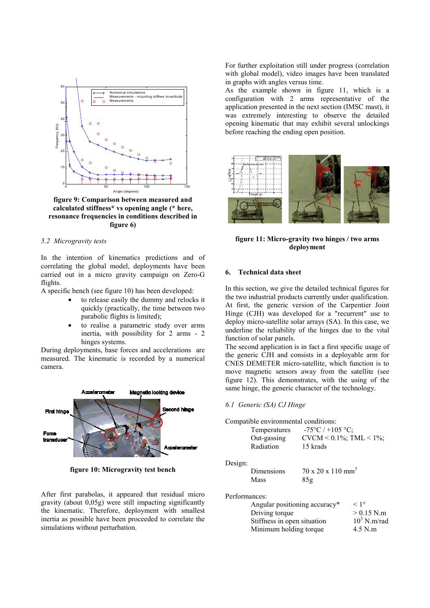

**figure 9: Comparison between measured and calculated stiffness\* vs opening angle (\* here, resonance frequencies in conditions described in figure 6)**

## *5.2 Microgravity tests*

In the intention of kinematics predictions and of correlating the global model, deployments have been carried out in a micro gravity campaign on Zero-G flights.

A specific bench (see figure 10) has been developed:

- to release easily the dummy and relocks it quickly (practically, the time between two parabolic flights is limited);
- to realise a parametric study over arms inertia, with possibility for 2 arms - 2 hinges systems.

During deployments, base forces and accelerations are measured. The kinematic is recorded by a numerical camera.



**figure 10: Microgravity test bench**

After first parabolas, it appeared that residual micro gravity (about 0,05g) were still impacting significantly the kinematic. Therefore, deployment with smallest inertia as possible have been proceeded to correlate the simulations without perturbation.

For further exploitation still under progress (correlation with global model), video images have been translated in graphs with angles versus time.

As the example shown in figure 11, which is a configuration with 2 arms representative of the application presented in the next section (IMSC mast), it was extremely interesting to observe the detailed opening kinematic that may exhibit several unlockings before reaching the ending open position.



**figure 11: Micro-gravity two hinges / two arms deployment**

## **6. Technical data sheet**

In this section, we give the detailed technical figures for the two industrial products currently under qualification. At first, the generic version of the Carpentier Joint Hinge (CJH) was developed for a "recurrent" use to deploy micro-satellite solar arrays (SA). In this case, we underline the reliability of the hinges due to the vital function of solar panels.

The second application is in fact a first specific usage of the generic CJH and consists in a deployable arm for CNES DEMETER micro-satellite, which function is to move magnetic sensors away from the satellite (see figure 12). This demonstrates, with the using of the same hinge, the generic character of the technology.

#### *6.1 Generic (SA) CJ Hinge*

Compatible environmental conditions:

| Temperatures  | $-75^{\circ}C$ / +105 °C;                                              |
|---------------|------------------------------------------------------------------------|
| Out-gassing   | CVCM < $0.1\%$ ; TML < $1\%$ ;                                         |
| Radiation     | 15 krads                                                               |
|               |                                                                        |
| Dimensions    | $70 \times 20 \times 110 \text{ mm}^3$                                 |
| Mass          | 85g                                                                    |
| Performances: |                                                                        |
|               |                                                                        |
|               | compation chain changinal conditions.<br>Anoular positioning accuracy* |

| Angular positioning accuracy* | $< 1^{\circ}$  |
|-------------------------------|----------------|
| Driving torque                | $> 0.15$ N.m   |
| Stiffness in open situation   | $10^3$ N.m/rad |
| Minimum holding torque        | $4.5$ N.m      |